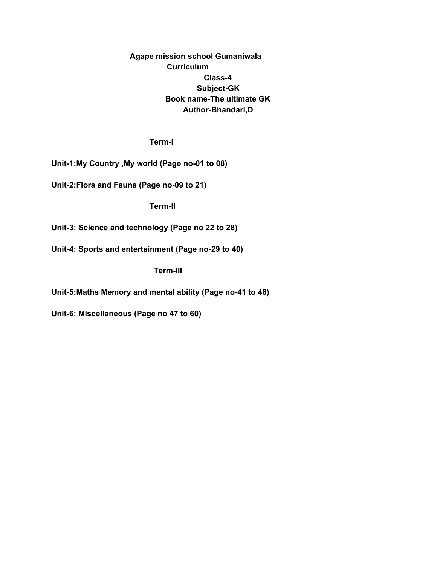# **Agape mission school Gumaniwala Curriculum Class-4 Subject-GK Book name-The ultimate GK Author-Bhandari,D**

**Term-l**

**Unit-1:My Country ,My world (Page no-01 to 08)**

**Unit-2:Flora and Fauna (Page no-09 to 21)**

**Term-II**

**Unit-3: Science and technology (Page no 22 to 28)**

**Unit-4: Sports and entertainment (Page no-29 to 40)**

**Term-III**

**Unit-5:Maths Memory and mental ability (Page no-41 to 46)**

**Unit-6: Miscellaneous (Page no 47 to 60)**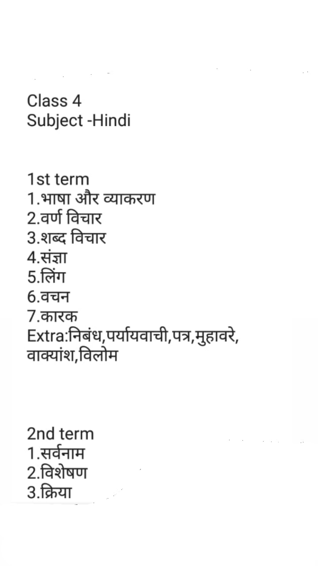# Class 4 Subject - Hindi

1st term 1.भाषा और व्याकरण 2.वर्ण विचार 3.शब्द विचार 4.संज्ञा 5.लिंग 6.वचन 7.कारक Extra:निबंध,पर्यायवाची,पत्र,मुहावरे, वाक्यांश,विलोम

 $\mathcal{L}^{\text{max}}_{\text{max}}$  .

# 2nd term 1.सर्वनाम 2.विशेषण 3.क्रिया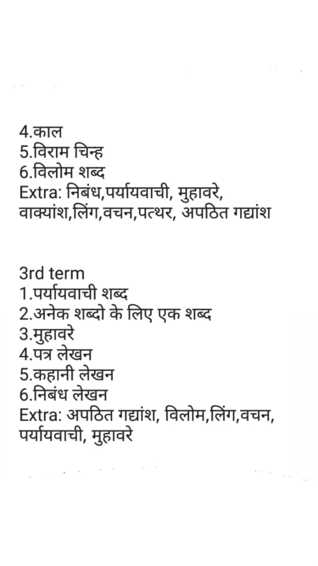3rd term 1.पर्यायवाची शब्द 2.अनेक शब्दो के लिए एक शब्द 3.मुहावरे 4.पत्र लेखन 5.कहानी लेखन 6.निबंध लेखन

4.काल 5.विराम चिन्ह 6.विलोम शब्द Extra: निबंध,पर्यायवाची, मुहावरे, वाक्यांश,लिंग,वचन,पत्थर, अपठित गद्यांश

# Extra: अपठित गद्यांश, विलोम,लिंग,वचन, पर्यायवाची, मुहावरे

 $\sigma=\cos\left(\frac{\pi}{2\Delta\beta}\right)$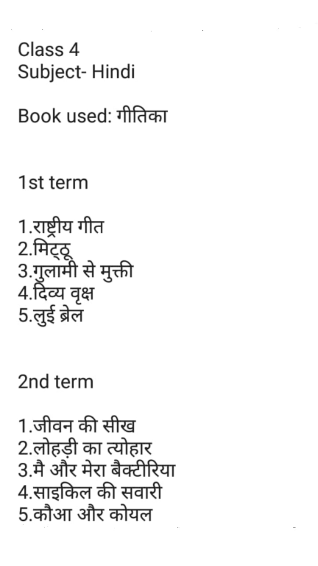# Class 4 Subject-Hindi

Book used: गीतिका

1st term

1.राष्ट्रीय गीत 2.मिट्ठू 3.गुलामी से मुक्ती 4.दिव्य वृक्ष 5.लुई ब्रेल

2nd term

1.जीवन की सीख 2.लोहडी का त्योहार 3.मै और मेरा बैक्टीरिया 4.साइकिल की सवारी 5.कौआ और कोयल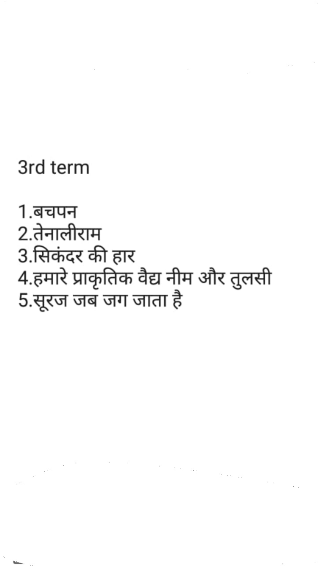# 3rd term

 $\mathcal{O}(\mathcal{O}(\log n) \log n)$  .

# 1.बचपन 2.तेनालीराम 3.सिकंदर की हार 4.हमारे प्राकृतिक वैद्य नीम और तुलसी 5.सूरज जब जग जाता है

 $\label{eq:2.1} \mathcal{L}(\mathcal{L}) = \mathcal{L}(\mathcal{L}) = \mathcal{L}(\mathcal{L}) = \mathcal{L}(\mathcal{L}) = \mathcal{L}(\mathcal{L}) = \mathcal{L}(\mathcal{L}) = \mathcal{L}(\mathcal{L}) = \mathcal{L}(\mathcal{L}) = \mathcal{L}(\mathcal{L}) = \mathcal{L}(\mathcal{L}) = \mathcal{L}(\mathcal{L}) = \mathcal{L}(\mathcal{L}) = \mathcal{L}(\mathcal{L}) = \mathcal{L}(\mathcal{L}) = \mathcal{L}(\mathcal{L}) = \mathcal{L}(\mathcal{L}) = \mathcal$ 

 $\label{eq:2.1} \frac{1}{2} \frac{1}{2} \left( \frac{1}{2} \right)^2 \left( \frac{1}{2} \right)^2$  $\langle \hat{\rho}^{\dagger} \rangle$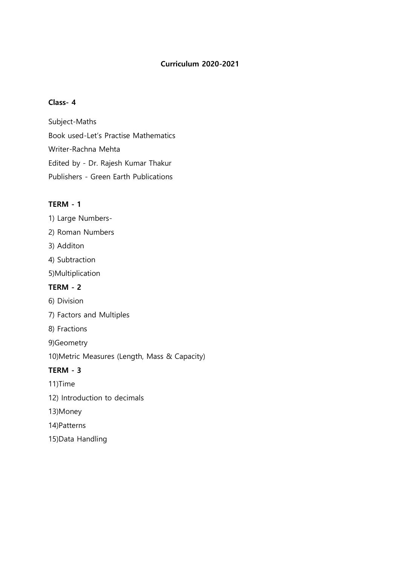# **Curriculum 2020-2021**

# **Class- 4**

Subject-Maths Book used-Let's Practise Mathematics Writer-Rachna Mehta Edited by - Dr. Rajesh Kumar Thakur Publishers - Green Earth Publications

#### **TERM - 1**

1) Large Numbers-

- 2) Roman Numbers
- 3) Additon
- 4) Subtraction
- 5)Multiplication

# **TERM - 2**

- 6) Division
- 7) Factors and Multiples
- 8) Fractions
- 9)Geometry
- 10)Metric Measures (Length, Mass & Capacity)

### **TERM - 3**

- 11)Time
- 12) Introduction to decimals
- 13)Money
- 14)Patterns
- 15)Data Handling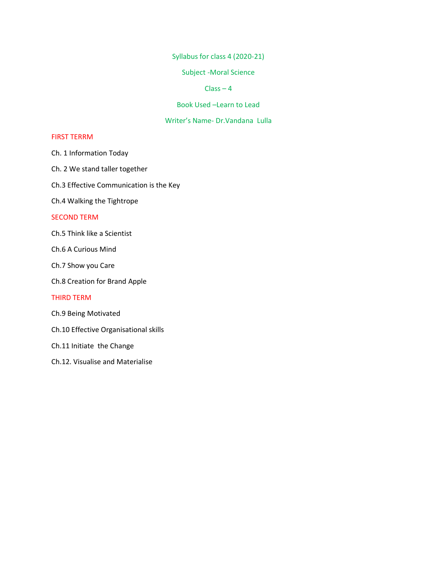Syllabus for class 4 (2020-21)

Subject -Moral Science

#### $Class - 4$

Book Used –Learn to Lead

#### Writer's Name- Dr.Vandana Lulla

#### FIRST TERRM

Ch. 1 Information Today

- Ch. 2 We stand taller together
- Ch.3 Effective Communication is the Key

Ch.4 Walking the Tightrope

#### SECOND TERM

- Ch.5 Think like a Scientist
- Ch.6 A Curious Mind
- Ch.7 Show you Care
- Ch.8 Creation for Brand Apple

#### THIRD TERM

- Ch.9 Being Motivated
- Ch.10 Effective Organisational skills
- Ch.11 Initiate the Change
- Ch.12. Visualise and Materialise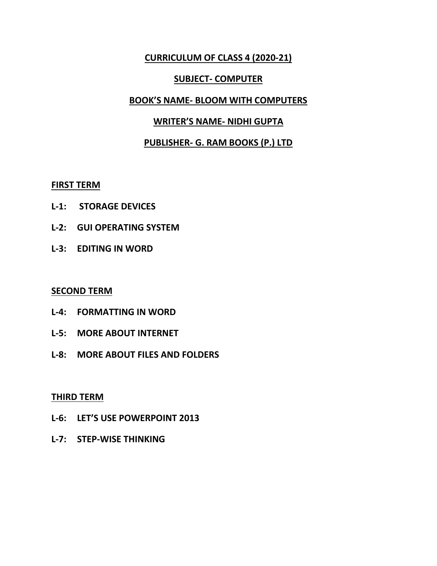# **CURRICULUM OF CLASS 4 (2020-21)**

# **SUBJECT- COMPUTER**

### **BOOK'S NAME- BLOOM WITH COMPUTERS**

### **WRITER'S NAME- NIDHI GUPTA**

# **PUBLISHER- G. RAM BOOKS (P.) LTD**

#### **FIRST TERM**

- **L-1: STORAGE DEVICES**
- **L-2: GUI OPERATING SYSTEM**
- **L-3: EDITING IN WORD**

### **SECOND TERM**

- **L-4: FORMATTING IN WORD**
- **L-5: MORE ABOUT INTERNET**
- **L-8: MORE ABOUT FILES AND FOLDERS**

### **THIRD TERM**

- **L-6: LET'S USE POWERPOINT 2013**
- **L-7: STEP-WISE THINKING**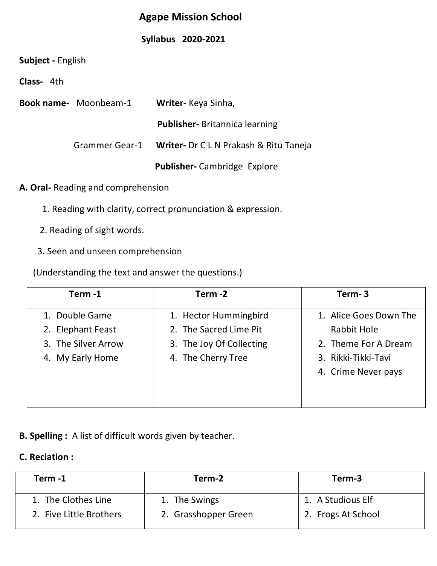# **Agape Mission School**

# **Syllabus 2020-2021**

| Subject - English |  |
|-------------------|--|
|-------------------|--|

**Class-** 4th

| <b>Book name-</b> Moonbeam-1 | Writer- Keya Sinha,                                   |
|------------------------------|-------------------------------------------------------|
|                              | <b>Publisher-</b> Britannica learning                 |
|                              | Grammer Gear-1 Writer- Dr C L N Prakash & Ritu Taneja |
|                              | <b>Publisher-</b> Cambridge Explore                   |

**A. Oral-** Reading and comprehension

- 1. Reading with clarity, correct pronunciation & expression.
- 2. Reading of sight words.
- 3. Seen and unseen comprehension

(Understanding the text and answer the questions.)

| Term-1              | Term -2                  | Term-3                 |
|---------------------|--------------------------|------------------------|
| 1. Double Game      | 1. Hector Hummingbird    | 1. Alice Goes Down The |
| 2. Elephant Feast   | 2. The Sacred Lime Pit   | Rabbit Hole            |
| 3. The Silver Arrow | 3. The Joy Of Collecting | 2. Theme For A Dream   |
| 4. My Early Home    | 4. The Cherry Tree       | 3. Rikki-Tikki-Tavi    |
|                     |                          | 4. Crime Never pays    |
|                     |                          |                        |
|                     |                          |                        |

**B. Spelling :** A list of difficult words given by teacher.

# **C. Reciation :**

| Term -1                 | Term-2               | Term-3             |
|-------------------------|----------------------|--------------------|
| 1. The Clothes Line     | 1. The Swings        | 1. A Studious Elf  |
| 2. Five Little Brothers | 2. Grasshopper Green | 2. Frogs At School |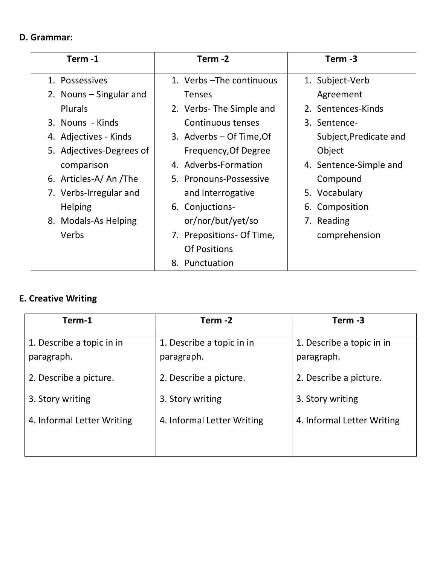# **D. Grammar:**

| Term-1                   | Term -2                   | Term -3                |
|--------------------------|---------------------------|------------------------|
| 1. Possessives           | 1. Verbs - The continuous | 1. Subject-Verb        |
| 2. Nouns - Singular and  | <b>Tenses</b>             | Agreement              |
| <b>Plurals</b>           | 2. Verbs-The Simple and   | 2. Sentences-Kinds     |
| 3. Nouns - Kinds         | Continuous tenses         | 3. Sentence-           |
| 4. Adjectives - Kinds    | 3. Adverbs – Of Time, Of  | Subject, Predicate and |
| 5. Adjectives-Degrees of | Frequency, Of Degree      | Object                 |
| comparison               | 4. Adverbs-Formation      | 4. Sentence-Simple and |
| 6. Articles-A/ An /The   | 5. Pronouns-Possessive    | Compound               |
| 7. Verbs-Irregular and   | and Interrogative         | 5. Vocabulary          |
| <b>Helping</b>           | 6. Conjuctions-           | 6. Composition         |
| 8. Modals-As Helping     | or/nor/but/yet/so         | 7. Reading             |
| Verbs                    | 7. Prepositions- Of Time, | comprehension          |
|                          | <b>Of Positions</b>       |                        |
|                          | 8. Punctuation            |                        |

# **E. Creative Writing**

| Term-1                                  | Term -2                                 | Term -3                                 |
|-----------------------------------------|-----------------------------------------|-----------------------------------------|
| 1. Describe a topic in in<br>paragraph. | 1. Describe a topic in in<br>paragraph. | 1. Describe a topic in in<br>paragraph. |
| 2. Describe a picture.                  | 2. Describe a picture.                  | 2. Describe a picture.                  |
| 3. Story writing                        | 3. Story writing                        | 3. Story writing                        |
| 4. Informal Letter Writing              | 4. Informal Letter Writing              | 4. Informal Letter Writing              |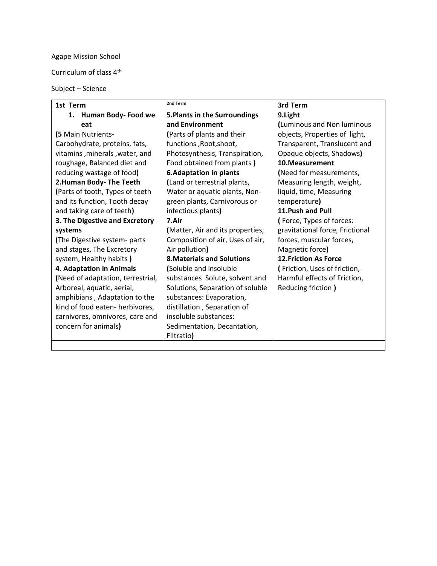# Agape Mission School

Curriculum of class 4th

Subject – Science

| 1st Term                          | 2nd Term                             | 3rd Term                        |
|-----------------------------------|--------------------------------------|---------------------------------|
| 1. Human Body-Food we             | <b>5. Plants in the Surroundings</b> | 9.Light                         |
| eat                               | and Environment                      | (Luminous and Non luminous      |
| (5 Main Nutrients-                | (Parts of plants and their           | objects, Properties of light,   |
| Carbohydrate, proteins, fats,     | functions, Root, shoot,              | Transparent, Translucent and    |
| vitamins, minerals, water, and    | Photosynthesis, Transpiration,       | Opaque objects, Shadows)        |
| roughage, Balanced diet and       | Food obtained from plants)           | 10. Measurement                 |
| reducing wastage of food)         | <b>6.Adaptation in plants</b>        | (Need for measurements,         |
| 2. Human Body- The Teeth          | (Land or terrestrial plants,         | Measuring length, weight,       |
| (Parts of tooth, Types of teeth   | Water or aquatic plants, Non-        | liquid, time, Measuring         |
| and its function, Tooth decay     | green plants, Carnivorous or         | temperature)                    |
| and taking care of teeth)         | infectious plants)                   | 11. Push and Pull               |
| 3. The Digestive and Excretory    | 7.Air                                | (Force, Types of forces:        |
| systems                           | (Matter, Air and its properties,     | gravitational force, Frictional |
| (The Digestive system- parts      | Composition of air, Uses of air,     | forces, muscular forces,        |
| and stages, The Excretory         | Air pollution)                       | Magnetic force)                 |
| system, Healthy habits)           | <b>8. Materials and Solutions</b>    | <b>12. Friction As Force</b>    |
| 4. Adaptation in Animals          | (Soluble and insoluble               | (Friction, Uses of friction,    |
| (Need of adaptation, terrestrial, | substances Solute, solvent and       | Harmful effects of Friction,    |
| Arboreal, aquatic, aerial,        | Solutions, Separation of soluble     | Reducing friction )             |
| amphibians, Adaptation to the     | substances: Evaporation,             |                                 |
| kind of food eaten- herbivores,   | distillation, Separation of          |                                 |
| carnivores, omnivores, care and   | insoluble substances:                |                                 |
| concern for animals)              | Sedimentation, Decantation,          |                                 |
|                                   | Filtratio)                           |                                 |
|                                   |                                      |                                 |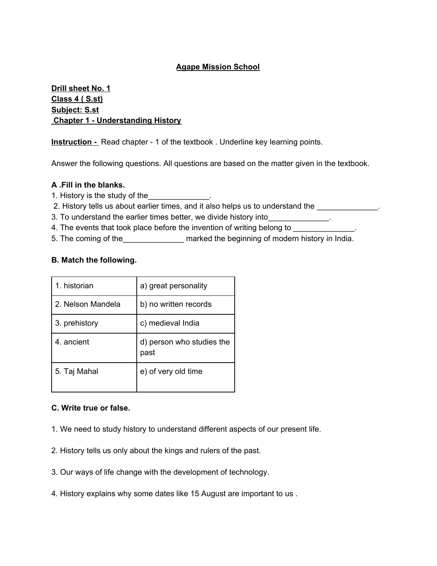#### **Agape Mission School**

### **Drill sheet No. 1 Class 4 ( S.st) Subject: S.st Chapter 1 - Understanding History**

**Instruction -** Read chapter - 1 of the textbook . Underline key learning points.

Answer the following questions. All questions are based on the matter given in the textbook.

#### **A .Fill in the blanks.**

- 1. History is the study of the\_\_\_\_\_\_\_\_\_\_\_\_\_\_.
- 2. History tells us about earlier times, and it also helps us to understand the \_\_\_\_\_\_\_\_\_\_\_\_\_.
- 3. To understand the earlier times better, we divide history into
- 4. The events that took place before the invention of writing belong to
- 5. The coming of the marked the beginning of modern history in India.

#### **B. Match the following.**

| 1. historian      | a) great personality              |
|-------------------|-----------------------------------|
| 2. Nelson Mandela | b) no written records             |
| 3. prehistory     | c) medieval India                 |
| 4. ancient        | d) person who studies the<br>past |
| 5. Taj Mahal      | e) of very old time               |

#### **C. Write true or false.**

- 1. We need to study history to understand different aspects of our present life.
- 2. History tells us only about the kings and rulers of the past.
- 3. Our ways of life change with the development of technology.
- 4. History explains why some dates like 15 August are important to us .